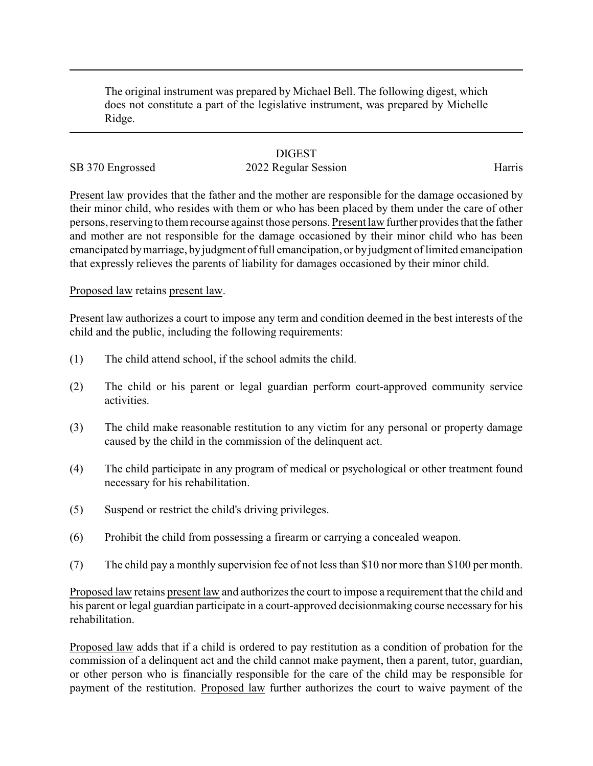The original instrument was prepared by Michael Bell. The following digest, which does not constitute a part of the legislative instrument, was prepared by Michelle Ridge.

## **DIGEST**

## SB 370 Engrossed 2022 Regular Session Harris

Present law provides that the father and the mother are responsible for the damage occasioned by their minor child, who resides with them or who has been placed by them under the care of other persons, reserving to them recourse against those persons. Present law further provides that the father and mother are not responsible for the damage occasioned by their minor child who has been emancipated bymarriage, byjudgment of full emancipation, or byjudgment of limited emancipation that expressly relieves the parents of liability for damages occasioned by their minor child.

Proposed law retains present law.

Present law authorizes a court to impose any term and condition deemed in the best interests of the child and the public, including the following requirements:

- (1) The child attend school, if the school admits the child.
- (2) The child or his parent or legal guardian perform court-approved community service activities.
- (3) The child make reasonable restitution to any victim for any personal or property damage caused by the child in the commission of the delinquent act.
- (4) The child participate in any program of medical or psychological or other treatment found necessary for his rehabilitation.
- (5) Suspend or restrict the child's driving privileges.
- (6) Prohibit the child from possessing a firearm or carrying a concealed weapon.
- (7) The child pay a monthly supervision fee of not less than \$10 nor more than \$100 per month.

Proposed law retains present law and authorizes the court to impose a requirement that the child and his parent or legal guardian participate in a court-approved decisionmaking course necessary for his rehabilitation.

Proposed law adds that if a child is ordered to pay restitution as a condition of probation for the commission of a delinquent act and the child cannot make payment, then a parent, tutor, guardian, or other person who is financially responsible for the care of the child may be responsible for payment of the restitution. Proposed law further authorizes the court to waive payment of the